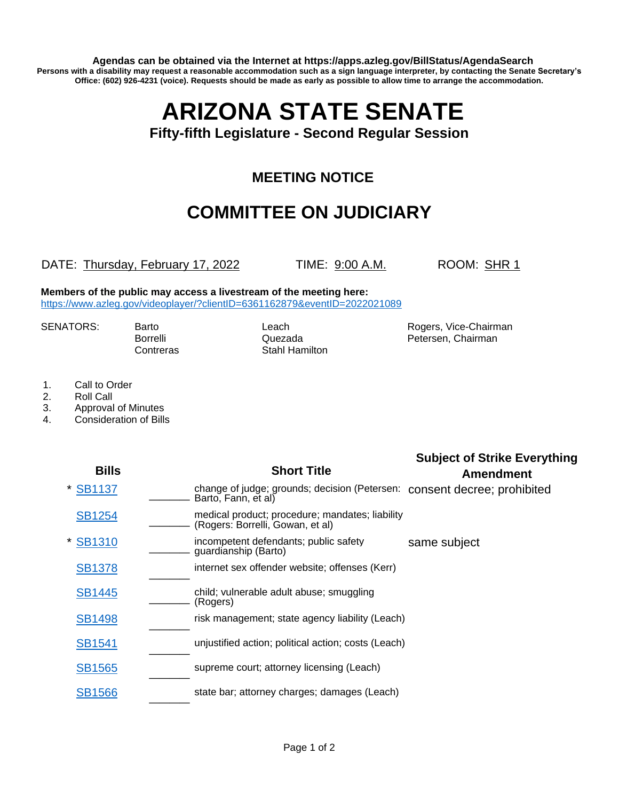**Agendas can be obtained via the Internet at https://apps.azleg.gov/BillStatus/AgendaSearch Persons with a disability may request a reasonable accommodation such as a sign language interpreter, by contacting the Senate Secretary's Office: (602) 926-4231 (voice). Requests should be made as early as possible to allow time to arrange the accommodation.**

# **ARIZONA STATE SENATE**

#### **Fifty-fifth Legislature - Second Regular Session**

### **MEETING NOTICE**

## **COMMITTEE ON JUDICIARY**

#### DATE: Thursday, February 17, 2022 TIME: 9:00 A.M. ROOM: SHR 1

**Members of the public may access a livestream of the meeting here:**  <https://www.azleg.gov/videoplayer/?clientID=6361162879&eventID=2022021089>

Contreras Stahl Hamilton

SENATORS: Barto **Barto Leach** Leach Rogers, Vice-Chairman Borrelli **Cuezada** Petersen, Chairman Quezada

- 1. Call to Order
- 2. Roll Call
- 3. Approval of Minutes
- 4. Consideration of Bills

| <b>Bills</b>  | <b>Short Title</b>                                                                  | <b>Subject of Strike Everything</b><br><b>Amendment</b> |
|---------------|-------------------------------------------------------------------------------------|---------------------------------------------------------|
| * SB1137      | change of judge; grounds; decision (Petersen:<br>Barto, Fann, et al)                | consent decree; prohibited                              |
| <b>SB1254</b> | medical product; procedure; mandates; liability<br>(Rogers: Borrelli, Gowan, et al) |                                                         |
| <b>SB1310</b> | incompetent defendants; public safety<br>guardianship (Barto)                       | same subject                                            |
| <b>SB1378</b> | internet sex offender website; offenses (Kerr)                                      |                                                         |
| <b>SB1445</b> | child; vulnerable adult abuse; smuggling<br>(Rogers)                                |                                                         |
| <b>SB1498</b> | risk management; state agency liability (Leach)                                     |                                                         |
| <b>SB1541</b> | unjustified action; political action; costs (Leach)                                 |                                                         |
| <b>SB1565</b> | supreme court; attorney licensing (Leach)                                           |                                                         |
| <b>SB1566</b> | state bar; attorney charges; damages (Leach)                                        |                                                         |